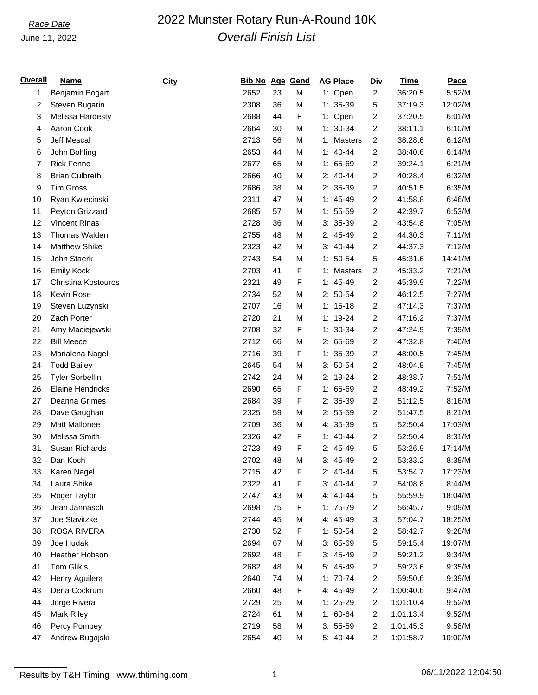## June 11, 2022

# *Race Date* 2022 Munster Rotary Run-A-Round 10K *Overall Finish List*

| <u>Overall</u> | <b>Name</b>             | City | <b>Bib No Age Gend</b> |    |   | <b>AG Place</b> | <b>Div</b>              | <b>Time</b> | Pace    |
|----------------|-------------------------|------|------------------------|----|---|-----------------|-------------------------|-------------|---------|
| 1              | Benjamin Bogart         |      | 2652                   | 23 | M | 1: Open         | $\overline{c}$          | 36:20.5     | 5:52/M  |
| 2              | Steven Bugarin          |      | 2308                   | 36 | M | $1: 35-39$      | 5                       | 37:19.3     | 12:02/M |
| 3              | Melissa Hardesty        |      | 2688                   | 44 | F | 1: Open         | 2                       | 37:20.5     | 6:01/M  |
| 4              | Aaron Cook              |      | 2664                   | 30 | M | $1: 30-34$      | $\overline{c}$          | 38:11.1     | 6:10/M  |
| 5              | <b>Jeff Mescal</b>      |      | 2713                   | 56 | M | 1: Masters      | 2                       | 38:28.6     | 6:12/M  |
| 6              | John Bohling            |      | 2653                   | 44 | M | $1: 40-44$      | $\overline{c}$          | 38:40.6     | 6:14/M  |
| 7              | <b>Rick Fenno</b>       |      | 2677                   | 65 | M | $1: 65-69$      | 2                       | 39:24.1     | 6:21/M  |
| 8              | <b>Brian Culbreth</b>   |      | 2666                   | 40 | M | $2: 40-44$      | $\overline{c}$          | 40:28.4     | 6:32/M  |
| 9              | <b>Tim Gross</b>        |      | 2686                   | 38 | M | 2: 35-39        | 2                       | 40:51.5     | 6:35/M  |
| 10             | Ryan Kwiecinski         |      | 2311                   | 47 | M | $1: 45-49$      | $\overline{c}$          | 41:58.8     | 6:46/M  |
| 11             | Peyton Grizzard         |      | 2685                   | 57 | M | $1: 55-59$      | 2                       | 42:39.7     | 6:53/M  |
| 12             | <b>Vincent Rinas</b>    |      | 2728                   | 36 | M | $3: 35-39$      | $\overline{c}$          | 43:54.8     | 7:05/M  |
| 13             | Thomas Walden           |      | 2755                   | 48 | M | 2: 45-49        | 2                       | 44:30.3     | 7:11/M  |
| 14             | Matthew Shike           |      | 2323                   | 42 | M | $3: 40-44$      | $\overline{c}$          | 44:37.3     | 7:12/M  |
| 15             | John Staerk             |      | 2743                   | 54 | M | $1: 50-54$      | 5                       | 45:31.6     | 14:41/M |
| 16             | <b>Emily Kock</b>       |      | 2703                   | 41 | F | 1: Masters      | $\overline{c}$          | 45:33.2     | 7:21/M  |
| 17             | Christina Kostouros     |      | 2321                   | 49 | F | $1: 45-49$      | $\overline{c}$          | 45:39.9     | 7:22/M  |
| 18             | Kevin Rose              |      | 2734                   | 52 | M | $2: 50-54$      | $\overline{c}$          | 46:12.5     | 7:27/M  |
| 19             | Steven Luzynski         |      | 2707                   | 16 | M | $1: 15-18$      | $\overline{c}$          | 47:14.3     | 7:37/M  |
| 20             | Zach Porter             |      | 2720                   | 21 | M | $1: 19-24$      | $\overline{c}$          | 47:16.2     | 7:37/M  |
| 21             | Amy Maciejewski         |      | 2708                   | 32 | F | $1: 30-34$      | 2                       | 47:24.9     | 7:39/M  |
| 22             | <b>Bill Meece</b>       |      | 2712                   | 66 | M | $2: 65-69$      | $\overline{c}$          | 47:32.8     | 7:40/M  |
| 23             | Marialena Nagel         |      | 2716                   | 39 | F | $1: 35-39$      | 2                       | 48:00.5     | 7:45/M  |
| 24             | <b>Todd Bailey</b>      |      | 2645                   | 54 | M | $3: 50-54$      | $\overline{c}$          | 48:04.8     | 7:45/M  |
| 25             | Tyler Sorbellini        |      | 2742                   | 24 | M | 2: 19-24        | 2                       | 48:38.7     | 7:51/M  |
| 26             | <b>Elaine Hendricks</b> |      | 2690                   | 65 | F | $1: 65-69$      | $\overline{c}$          | 48:49.2     | 7:52/M  |
| 27             | Deanna Grimes           |      | 2684                   | 39 | F | 2: 35-39        | 2                       | 51:12.5     | 8:16/M  |
| 28             | Dave Gaughan            |      | 2325                   | 59 | M | $2: 55-59$      | 2                       | 51:47.5     | 8:21/M  |
| 29             | Matt Mallonee           |      | 2709                   | 36 | M | 4: 35-39        | 5                       | 52:50.4     | 17:03/M |
| 30             | Melissa Smith           |      | 2326                   | 42 | F | $1: 40-44$      | 2                       | 52:50.4     | 8:31/M  |
| 31             | Susan Richards          |      | 2723                   | 49 | F | 2: 45-49        | 5                       | 53:26.9     | 17:14/M |
| 32             | Dan Koch                |      | 2702                   | 48 | M | $3: 45-49$      | $\overline{c}$          | 53:33.2     | 8:38/M  |
| 33             | Karen Nagel             |      | 2715                   | 42 | F | $2: 40-44$      | 5                       | 53:54.7     | 17:23/M |
| 34             | Laura Shike             |      | 2322                   | 41 | F | $3: 40-44$      | 2                       | 54:08.8     | 8:44/M  |
| 35             | Roger Taylor            |      | 2747                   | 43 | M | 4: 40-44        | 5                       | 55:59.9     | 18:04/M |
| 36             | Jean Jannasch           |      | 2698                   | 75 | F | $1: 75-79$      | $\overline{\mathbf{c}}$ | 56:45.7     | 9:09/M  |
| 37             | Joe Stavitzke           |      | 2744                   | 45 | M | 4: 45-49        | 3                       | 57:04.7     | 18:25/M |
| 38             | <b>ROSA RIVERA</b>      |      | 2730                   | 52 | F | $1: 50-54$      | 2                       | 58:42.7     | 9:28/M  |
| 39             | Joe Hudak               |      | 2694                   | 67 | M | $3:65-69$       | 5                       | 59:15.4     | 19:07/M |
| 40             | Heather Hobson          |      | 2692                   | 48 | F | $3: 45-49$      | 2                       | 59:21.2     | 9:34/M  |
| 41             | <b>Tom Glikis</b>       |      | 2682                   | 48 | M | 5: 45-49        | 2                       | 59:23.6     | 9:35/M  |
| 42             | Henry Aguilera          |      | 2640                   | 74 | M | $1: 70-74$      | $\overline{c}$          | 59:50.6     | 9:39/M  |
| 43             | Dena Cockrum            |      | 2660                   | 48 | F | 4: 45-49        | $\overline{c}$          | 1:00:40.6   | 9:47/M  |
| 44             | Jorge Rivera            |      | 2729                   | 25 | M | $1: 25-29$      | $\overline{c}$          | 1:01:10.4   | 9:52/M  |
| 45             | Mark Riley              |      | 2724                   | 61 | M | $1: 60-64$      | 2                       | 1:01:13.4   | 9:52/M  |
| 46             | Percy Pompey            |      | 2719                   | 58 | M | $3: 55-59$      | $\overline{c}$          | 1:01:45.3   | 9:58/M  |
| 47             | Andrew Bugajski         |      | 2654                   | 40 | M | 5: 40-44        | $\overline{c}$          | 1:01:58.7   | 10:00/M |
|                |                         |      |                        |    |   |                 |                         |             |         |

Results by T&H Timing www.thtiming.com 1 1 1 06/11/2022 12:04:50